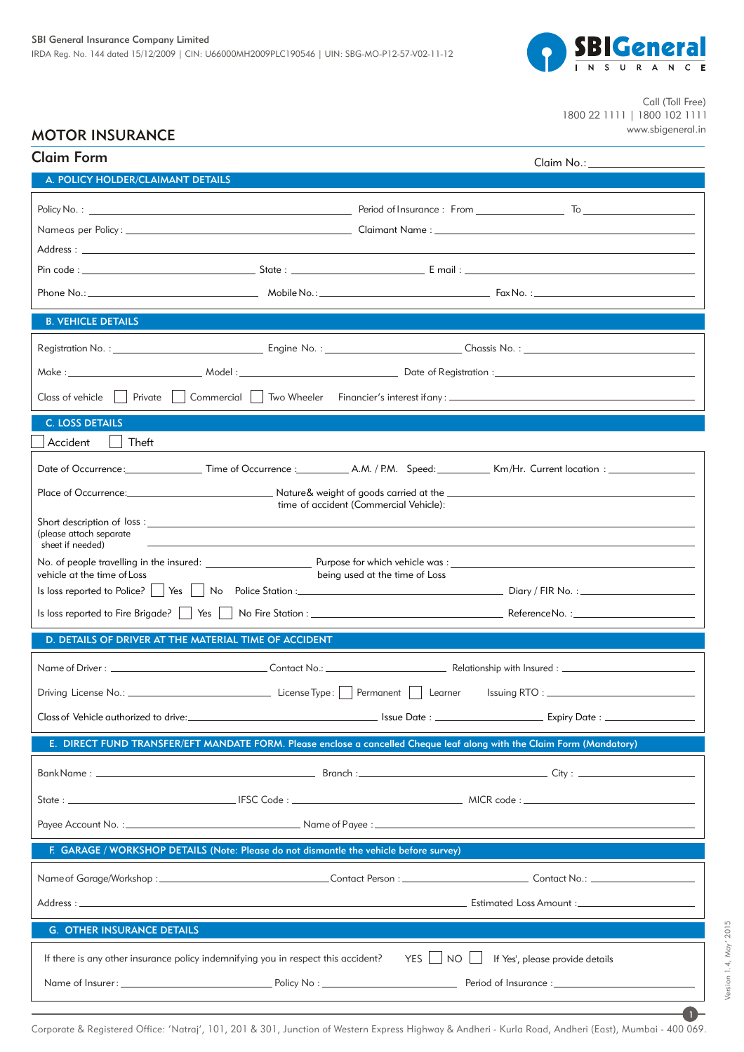

Call (Toll Free) 1800 22 1111 | 1800 102 1111 www.sbigeneral.in

 $\overline{a}$ 

 $\bf{r}$ 

Version 1.4, May' 2015

Version 1.4, May' 2015

# MOTOR INSURANCE

| <b>Claim Form</b>                                                                                                      |                                        |                                                                                                                               |
|------------------------------------------------------------------------------------------------------------------------|----------------------------------------|-------------------------------------------------------------------------------------------------------------------------------|
| A. POLICY HOLDER/CLAIMANT DETAILS                                                                                      |                                        |                                                                                                                               |
|                                                                                                                        |                                        |                                                                                                                               |
|                                                                                                                        |                                        |                                                                                                                               |
|                                                                                                                        |                                        |                                                                                                                               |
|                                                                                                                        |                                        |                                                                                                                               |
|                                                                                                                        |                                        |                                                                                                                               |
| <b>B. VEHICLE DETAILS</b>                                                                                              |                                        |                                                                                                                               |
|                                                                                                                        |                                        |                                                                                                                               |
|                                                                                                                        |                                        |                                                                                                                               |
|                                                                                                                        |                                        |                                                                                                                               |
| <b>C. LOSS DETAILS</b>                                                                                                 |                                        |                                                                                                                               |
| Accident<br>Theft                                                                                                      |                                        |                                                                                                                               |
|                                                                                                                        |                                        |                                                                                                                               |
|                                                                                                                        |                                        |                                                                                                                               |
|                                                                                                                        | time of accident (Commercial Vehicle): |                                                                                                                               |
| (please attach separate<br>sheet if needed)                                                                            |                                        |                                                                                                                               |
|                                                                                                                        |                                        |                                                                                                                               |
| vehicle at the time of Loss                                                                                            | being used at the time of Loss         |                                                                                                                               |
|                                                                                                                        |                                        |                                                                                                                               |
|                                                                                                                        |                                        |                                                                                                                               |
| D. DETAILS OF DRIVER AT THE MATERIAL TIME OF ACCIDENT                                                                  |                                        |                                                                                                                               |
|                                                                                                                        |                                        |                                                                                                                               |
|                                                                                                                        |                                        |                                                                                                                               |
|                                                                                                                        |                                        | Class of Vehicle authorized to drive: <u>Classed and Classic and Classic School and Class of Vehicle authorized to drive:</u> |
| E. DIRECT FUND TRANSFER/EFT MANDATE FORM. Please enclose a cancelled Cheque leaf along with the Claim Form (Mandatory) |                                        |                                                                                                                               |
|                                                                                                                        |                                        |                                                                                                                               |
|                                                                                                                        |                                        |                                                                                                                               |
|                                                                                                                        |                                        |                                                                                                                               |
| F. GARAGE / WORKSHOP DETAILS (Note: Please do not dismantle the vehicle before survey)                                 |                                        |                                                                                                                               |
|                                                                                                                        |                                        |                                                                                                                               |
|                                                                                                                        |                                        |                                                                                                                               |
|                                                                                                                        |                                        |                                                                                                                               |
| <b>G. OTHER INSURANCE DETAILS</b>                                                                                      |                                        |                                                                                                                               |
| If there is any other insurance policy indemnifying you in respect this accident?                                      | YES     NO                             | If Yes', please provide details                                                                                               |
|                                                                                                                        |                                        |                                                                                                                               |

Corporate & Registered Office: 'Natraj', 101, 201 & 301, Junction of Western Express Highway & Andheri - Kurla Road, Andheri (East), Mumbai - 400 069.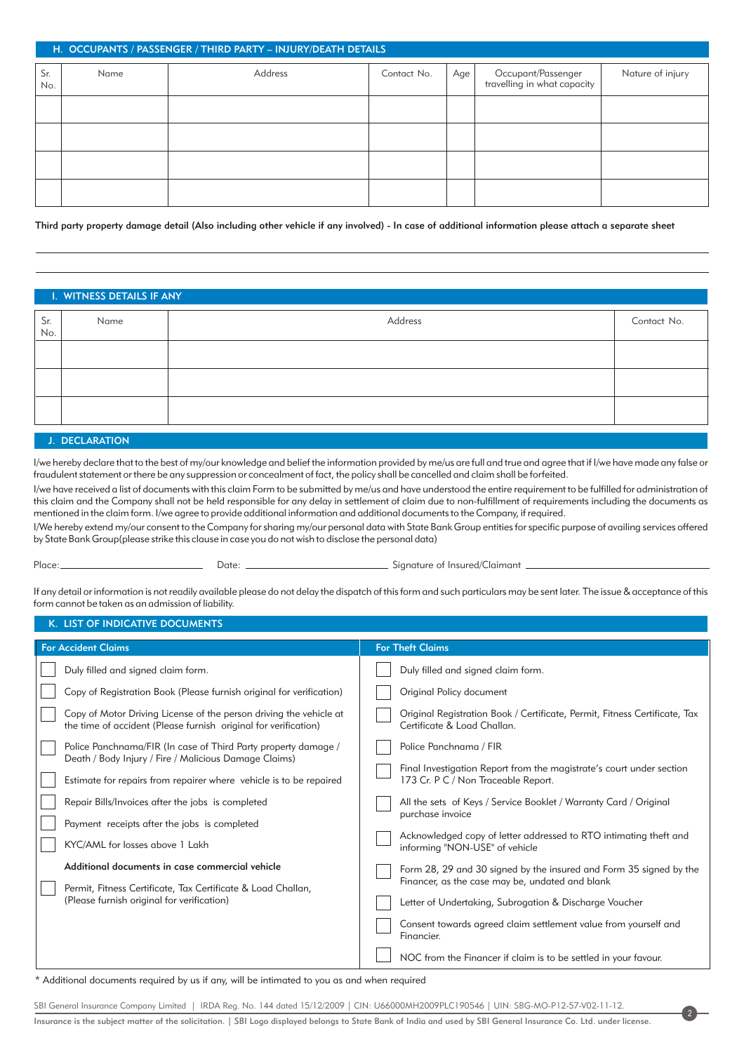## H. OCCUPANTS / PASSENGER / THIRD PARTY – INJURY/DEATH DETAILS

| Sr.<br>No. | Name | Address | Contact No. | $Age \mid$ | Occupant/Passenger<br>travelling in what capacity | Nature of injury |
|------------|------|---------|-------------|------------|---------------------------------------------------|------------------|
|            |      |         |             |            |                                                   |                  |
|            |      |         |             |            |                                                   |                  |
|            |      |         |             |            |                                                   |                  |
|            |      |         |             |            |                                                   |                  |

Third party property damage detail (Also including other vehicle if any involved) - In case of additional information please attach a separate sheet

# I. WITNESS DETAILS IF ANY Sr. No. Name and the contact No. Address the Address contact No. Address the Contact No. Address the Contact No. Address the Contact No.

#### J. DECLARATION

I/we hereby declare that to the best of my/our knowledge and belief the information provided by me/us are full and true and agree that if I/we have made any false or fraudulent statement or there be any suppression or concealment of fact, the policy shall be cancelled and claim shall be forfeited.

I/we have received a list of documents with this claim Form to be submitted by me/us and have understood the entire requirement to be fulfilled for administration of this claim and the Company shall not be held responsible for any delay in settlement of claim due to non-fulfillment of requirements including the documents as mentioned in the claim form. I/we agree to provide additional information and additional documents to the Company, if required.

I/We hereby extend my/our consent to the Company for sharing my/our personal data with State Bank Group entities for specific purpose of availing services offered by State Bank Group(please strike this clause in case you do not wish to disclose the personal data)

Place: Date: Date: Signature of Insured/Claimant \_

2

If any detail or information is not readily available please do not delay the dispatch of this form and such particulars may be sent later. The issue & acceptance of this form cannot be taken as an admission of liability.

### K. LIST OF INDICATIVE DOCUMENTS

| <b>For Accident Claims</b>                                                                                                                                                                                                                                                                                                                                                                                                                                                                                                                                                                                                                                                                                                                                    | <b>For Theft Claims</b>                                                                                                                                                                                                                                                                                                                                                                                                                                                                                                                                                                                                                                                                                                                                                                                                                                     |  |  |  |
|---------------------------------------------------------------------------------------------------------------------------------------------------------------------------------------------------------------------------------------------------------------------------------------------------------------------------------------------------------------------------------------------------------------------------------------------------------------------------------------------------------------------------------------------------------------------------------------------------------------------------------------------------------------------------------------------------------------------------------------------------------------|-------------------------------------------------------------------------------------------------------------------------------------------------------------------------------------------------------------------------------------------------------------------------------------------------------------------------------------------------------------------------------------------------------------------------------------------------------------------------------------------------------------------------------------------------------------------------------------------------------------------------------------------------------------------------------------------------------------------------------------------------------------------------------------------------------------------------------------------------------------|--|--|--|
| Duly filled and signed claim form.<br>Copy of Registration Book (Please furnish original for verification)<br>Copy of Motor Driving License of the person driving the vehicle at<br>the time of accident (Please furnish original for verification)<br>Police Panchnama/FIR (In case of Third Party property damage /<br>Death / Body Injury / Fire / Malicious Damage Claims)<br>Estimate for repairs from repairer where vehicle is to be repaired<br>Repair Bills/Invoices after the jobs is completed<br>Payment receipts after the jobs is completed<br>KYC/AML for losses above 1 Lakh<br>Additional documents in case commercial vehicle<br>Permit, Fitness Certificate, Tax Certificate & Load Challan,<br>(Please furnish original for verification) | Duly filled and signed claim form.<br>Original Policy document<br>Original Registration Book / Certificate, Permit, Fitness Certificate, Tax<br>Certificate & Load Challan.<br>Police Panchnama / FIR<br>Final Investigation Report from the magistrate's court under section<br>173 Cr. P C / Non Traceable Report.<br>All the sets of Keys / Service Booklet / Warranty Card / Original<br>purchase invoice<br>Acknowledged copy of letter addressed to RTO intimating theft and<br>informing "NON-USE" of vehicle<br>Form 28, 29 and 30 signed by the insured and Form 35 signed by the<br>Financer, as the case may be, undated and blank<br>Letter of Undertaking, Subrogation & Discharge Voucher<br>Consent towards agreed claim settlement value from yourself and<br>Financier.<br>NOC from the Financer if claim is to be settled in your favour. |  |  |  |

\* Additional documents required by us if any, will be intimated to you as and when required

SBI General Insurance Company Limited | IRDA Reg. No. 144 dated 15/12/2009 | CIN: U66000MH2009PLC190546 | UIN: SBG-MO-P12-57-V02-11-12. Insurance is the subject matter of the solicitation. | SBI Logo displayed belongs to State Bank of India and used by SBI General Insurance Co. Ltd. under license.